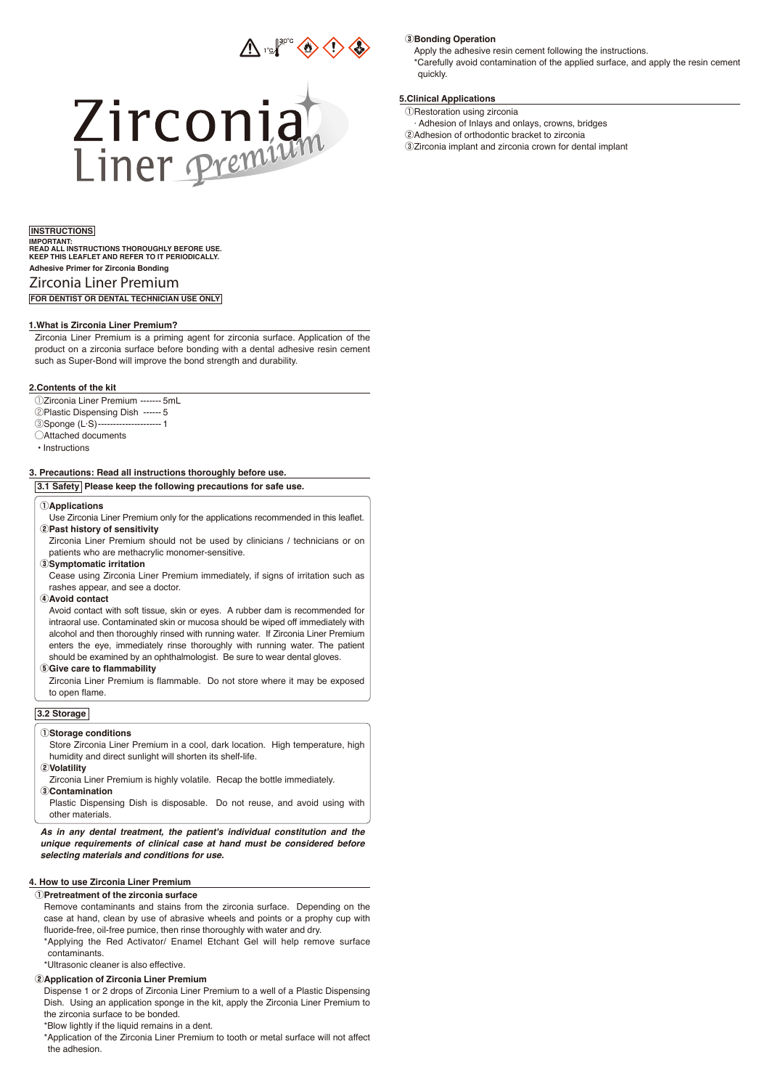



# **Adhesive Primer for Zirconia Bonding** Zirconia Liner Premium **IMPORTANT: READ ALL INSTRUCTIONS THOROUGHLY BEFORE USE. KEEP THIS LEAFLET AND REFER TO IT PERIODICALLY.**

**FOR DENTIST OR DENTAL TECHNICIAN USE ONLY**

#### **1.What is Zirconia Liner Premium?**

Zirconia Liner Premium is a priming agent for zirconia surface. Application of the product on a zirconia surface before bonding with a dental adhesive resin cement such as Super-Bond will improve the bond strength and durability.

#### **2.Contents of the kit**

qZirconia Liner Premium ------- 5mL

- 2 Plastic Dispensing Dish ------ 5
- **3Sponge (L·S)---------------------- 1**
- $\bigcirc$ Attached documents
- Instructions

## **3. Precautions: Read all instructions thoroughly before use.**

**3.1 Safety Please keep the following precautions for safe use.**

#### q**Applications**

Use Zirconia Liner Premium only for the applications recommended in this leaflet. w**Past history of sensitivity**

Zirconia Liner Premium should not be used by clinicians / technicians or on patients who are methacrylic monomer-sensitive.

#### e**Symptomatic irritation**

Cease using Zirconia Liner Premium immediately, if signs of irritation such as rashes appear, and see a doctor.

#### r**Avoid contact**

Avoid contact with soft tissue, skin or eyes. A rubber dam is recommended for intraoral use. Contaminated skin or mucosa should be wiped off immediately with alcohol and then thoroughly rinsed with running water. If Zirconia Liner Premium enters the eye, immediately rinse thoroughly with running water. The patient should be examined by an ophthalmologist. Be sure to wear dental gloves.

#### **6** Give care to flammability

Zirconia Liner Premium is flammable. Do not store where it may be exposed to open flame.

## **3.2 Storage**

#### q**Storage conditions**

Store Zirconia Liner Premium in a cool, dark location. High temperature, high humidity and direct sunlight will shorten its shelf-life.

## w**Volatility**

Zirconia Liner Premium is highly volatile. Recap the bottle immediately. e**Contamination**

Plastic Dispensing Dish is disposable. Do not reuse, and avoid using with other materials.

*As in any dental treatment, the patient's individual constitution and the unique requirements of clinical case at hand must be considered before selecting materials and conditions for use.*

## **4. How to use Zirconia Liner Premium**

#### q**Pretreatment of the zirconia surface**

Remove contaminants and stains from the zirconia surface. Depending on the case at hand, clean by use of abrasive wheels and points or a prophy cup with fluoride-free, oil-free pumice, then rinse thoroughly with water and dry.

\*Applying the Red Activator/ Enamel Etchant Gel will help remove surface contaminants.

\*Ultrasonic cleaner is also effective.

#### w**Application of Zirconia Liner Premium**

Dispense 1 or 2 drops of Zirconia Liner Premium to a well of a Plastic Dispensing Dish. Using an application sponge in the kit, apply the Zirconia Liner Premium to the zirconia surface to be bonded.

\*Blow lightly if the liquid remains in a dent.

\*Application of the Zirconia Liner Premium to tooth or metal surface will not affect the adhesion.

#### **8**Bonding Operation

Apply the adhesive resin cement following the instructions. \*Carefully avoid contamination of the applied surface, and apply the resin cement quickly.

### **5.Clinical Applications**

*ORestoration using zirconia* 

- · Adhesion of Inlays and onlays, crowns, bridges
- (2) Adhesion of orthodontic bracket to zirconia
- <sup>3</sup> Zirconia implant and zirconia crown for dental implant